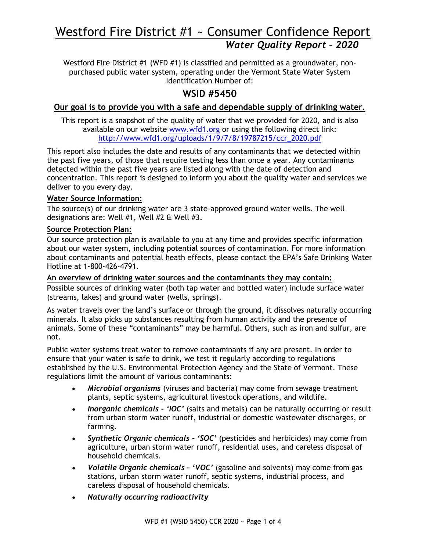# Westford Fire District #1 ~ Consumer Confidence Report *Water Quality Report – 2020*

Westford Fire District #1 (WFD #1) is classified and permitted as a groundwater, nonpurchased public water system, operating under the Vermont State Water System Identification Number of:

## **WSID #5450**

#### **Our goal is to provide you with a safe and dependable supply of drinking water.**

This report is a snapshot of the quality of water that we provided for 2020, and is also available on our website [www.wfd1.org](http://www.wfd1.org/) or using the following direct link: [http://www.wfd1.org/uploads/1/9/7/8/19787215/ccr\\_2020.pdf](http://www.wfd1.org/uploads/1/9/7/8/19787215/ccr_2020.pdf)

This report also includes the date and results of any contaminants that we detected within the past five years, of those that require testing less than once a year. Any contaminants detected within the past five years are listed along with the date of detection and concentration. This report is designed to inform you about the quality water and services we deliver to you every day.

#### **Water Source Information:**

The source(s) of our drinking water are 3 state-approved ground water wells. The well designations are: Well #1, Well #2 & Well #3.

#### **Source Protection Plan:**

Our source protection plan is available to you at any time and provides specific information about our water system, including potential sources of contamination. For more information about contaminants and potential heath effects, please contact the EPA's Safe Drinking Water Hotline at 1-800-426-4791.

#### **An overview of drinking water sources and the contaminants they may contain:**

Possible sources of drinking water (both tap water and bottled water) include surface water (streams, lakes) and ground water (wells, springs).

As water travels over the land's surface or through the ground, it dissolves naturally occurring minerals. It also picks up substances resulting from human activity and the presence of animals. Some of these "contaminants" may be harmful. Others, such as iron and sulfur, are not.

Public water systems treat water to remove contaminants if any are present. In order to ensure that your water is safe to drink, we test it regularly according to regulations established by the U.S. Environmental Protection Agency and the State of Vermont. These regulations limit the amount of various contaminants:

- *Microbial organisms* (viruses and bacteria) may come from sewage treatment plants, septic systems, agricultural livestock operations, and wildlife.
- *Inorganic chemicals - 'IOC'* (salts and metals) can be naturally occurring or result from urban storm water runoff, industrial or domestic wastewater discharges, or farming.
- *Synthetic Organic chemicals - 'SOC'* (pesticides and herbicides) may come from agriculture, urban storm water runoff, residential uses, and careless disposal of household chemicals.
- *Volatile Organic chemicals – 'VOC'* (gasoline and solvents) may come from gas stations, urban storm water runoff, septic systems, industrial process, and careless disposal of household chemicals.
- *Naturally occurring radioactivity*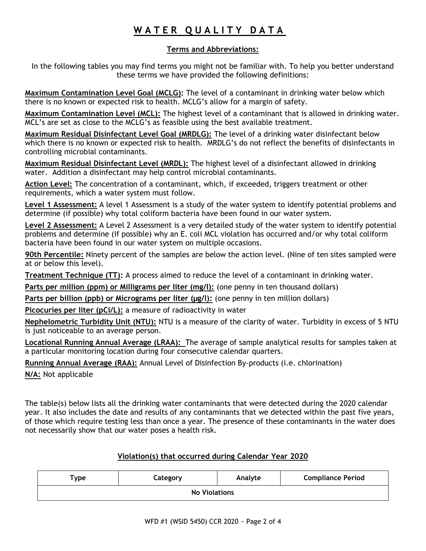## **W A T E R Q U A L I T Y D A T A**

#### **Terms and Abbreviations:**

In the following tables you may find terms you might not be familiar with. To help you better understand these terms we have provided the following definitions:

**Maximum Contamination Level Goal (MCLG):** The level of a contaminant in drinking water below which there is no known or expected risk to health. MCLG's allow for a margin of safety.

**Maximum Contamination Level (MCL):** The highest level of a contaminant that is allowed in drinking water. MCL's are set as close to the MCLG's as feasible using the best available treatment.

**Maximum Residual Disinfectant Level Goal (MRDLG):** The level of a drinking water disinfectant below which there is no known or expected risk to health. MRDLG's do not reflect the benefits of disinfectants in controlling microbial contaminants.

**Maximum Residual Disinfectant Level (MRDL):** The highest level of a disinfectant allowed in drinking water. Addition a disinfectant may help control microbial contaminants.

**Action Level:** The concentration of a contaminant, which, if exceeded, triggers treatment or other requirements, which a water system must follow.

**Level 1 Assessment:** A level 1 Assessment is a study of the water system to identify potential problems and determine (if possible) why total coliform bacteria have been found in our water system.

**Level 2 Assessment:** A Level 2 Assessment is a very detailed study of the water system to identify potential problems and determine (if possible) why an E. coli MCL violation has occurred and/or why total coliform bacteria have been found in our water system on multiple occasions.

**90th Percentile:** Ninety percent of the samples are below the action level. (Nine of ten sites sampled were at or below this level).

**Treatment Technique (TT):** A process aimed to reduce the level of a contaminant in drinking water.

**Parts per million (ppm) or Milligrams per liter (mg/l):** (one penny in ten thousand dollars)

Parts per billion (ppb) or Micrograms per liter (µg/l): (one penny in ten million dollars)

**Picocuries per liter (pCi/L):** a measure of radioactivity in water

**Nephelometric Turbidity Unit (NTU):** NTU is a measure of the clarity of water. Turbidity in excess of 5 NTU is just noticeable to an average person.

**Locational Running Annual Average (LRAA):** The average of sample analytical results for samples taken at a particular monitoring location during four consecutive calendar quarters.

**Running Annual Average (RAA):** Annual Level of Disinfection By-products (i.e. chlorination)

**N/A:** Not applicable

The table(s) below lists all the drinking water contaminants that were detected during the 2020 calendar year. It also includes the date and results of any contaminants that we detected within the past five years, of those which require testing less than once a year. The presence of these contaminants in the water does not necessarily show that our water poses a health risk.

#### **Violation(s) that occurred during Calendar Year 2020**

| $T$ ype              | Category | Analyte | <b>Compliance Period</b> |  |  |  |  |  |
|----------------------|----------|---------|--------------------------|--|--|--|--|--|
| <b>No Violations</b> |          |         |                          |  |  |  |  |  |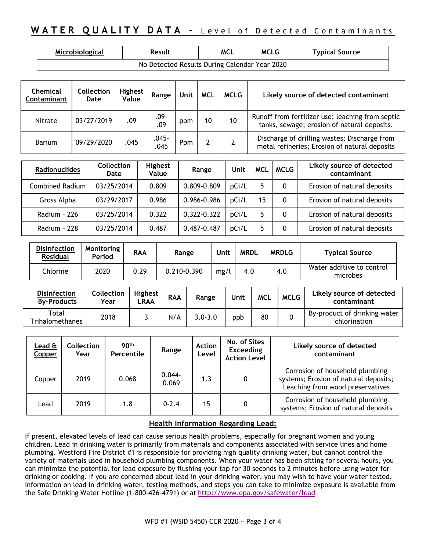## **WATER QUALITY DATA -** Level of Detected Contaminants

| Microbiological                               | Result | <b>MCL</b> | <b>MCLG</b> | <b>Typical Source</b> |  |  |  |  |
|-----------------------------------------------|--------|------------|-------------|-----------------------|--|--|--|--|
| No Detected Results During Calendar Year 2020 |        |            |             |                       |  |  |  |  |

| <b>Chemical</b><br>Contaminant | <b>Collection</b><br>Date | Highest<br>Value | Range          | Unit | <b>MCL</b> | <b>MCLG</b> | Likely source of detected contaminant                                                           |
|--------------------------------|---------------------------|------------------|----------------|------|------------|-------------|-------------------------------------------------------------------------------------------------|
| Nitrate                        | 03/27/2019                | .09              | $.09 -$<br>.09 | ppm  | 10         | 10          | Runoff from fertilizer use; leaching from septic<br>tanks, sewage; erosion of natural deposits. |
| <b>Barium</b>                  | 09/29/2020                | .045             | .045-<br>.045  | Ppm  |            |             | Discharge of drilling wastes; Discharge from<br>metal refineries; Erosion of natural deposits   |

| <b>Radionuclides</b> | <b>Collection</b><br>Date | Highest<br>Value | Range       | Unit  | <b>MCL</b> | <b>MCLG</b> | Likely source of detected<br>contaminant |
|----------------------|---------------------------|------------------|-------------|-------|------------|-------------|------------------------------------------|
| Combined Radium      | 03/25/2014                | 0.809            | 0.809-0.809 | pCi/L |            | 0           | Erosion of natural deposits              |
| Gross Alpha          | 03/29/2017                | 0.986            | 0.986-0.986 | pCi/L | 15         | 0           | Erosion of natural deposits              |
| Radium - 226         | 03/25/2014                | 0.322            | 0.322-0.322 | pCi/L |            | 0           | Erosion of natural deposits              |
| Radium - 228         | 03/25/2014                | 0.487            | 0.487-0.487 | pCi/L |            | 0           | Erosion of natural deposits              |

| <b>Disinfection</b><br><b>Residual</b> | Monitoring<br>Period | <b>RAA</b> | Range       | Unit | <b>MRDL</b> | <b>MRDLG</b> | <b>Typical Source</b>                 |
|----------------------------------------|----------------------|------------|-------------|------|-------------|--------------|---------------------------------------|
| Chlorine                               | 2020                 | 0.29       | 0.210-0.390 | mg/l | 4.0         | 4.0          | Water additive to control<br>microbes |

| <b>Disinfection</b><br><b>By-Products</b> | Collection<br>Year | <b>Highest</b><br>LRAA | <b>RAA</b> | Range       | Unit | <b>MCL</b> | <b>MCLG</b> | Likely source of detected<br>contaminant     |
|-------------------------------------------|--------------------|------------------------|------------|-------------|------|------------|-------------|----------------------------------------------|
| Total<br>Trihalomethanes                  | 2018               |                        | N/A        | $3.0 - 3.0$ | ppb  | 80         |             | By-product of drinking water<br>chlorination |

| <u>Lead &amp;</u><br>Copper | <b>Collection</b><br>Year | 90 <sup>th</sup><br>Percentile | Range              | <b>Action</b><br>Level | No. of Sites<br><b>Exceeding</b><br><b>Action Level</b> | Likely source of detected<br>contaminant                                                                     |
|-----------------------------|---------------------------|--------------------------------|--------------------|------------------------|---------------------------------------------------------|--------------------------------------------------------------------------------------------------------------|
| Copper                      | 2019                      | 0.068                          | $0.044 -$<br>0.069 | 1.3                    | 0                                                       | Corrosion of household plumbing<br>systems; Erosion of natural deposits;<br>Leaching from wood preservatives |
| Lead                        | 2019                      | 1.8                            | $0 - 2.4$          | 15                     | 0                                                       | Corrosion of household plumbing<br>systems; Erosion of natural deposits                                      |

#### **Health Information Regarding Lead:**

If present, elevated levels of lead can cause serious health problems, especially for pregnant women and young children. Lead in drinking water is primarily from materials and components associated with service lines and home plumbing. Westford Fire District #1 is responsible for providing high quality drinking water, but cannot control the variety of materials used in household plumbing components. When your water has been sitting for several hours, you can minimize the potential for lead exposure by flushing your tap for 30 seconds to 2 minutes before using water for drinking or cooking. If you are concerned about lead in your drinking water, you may wish to have your water tested. Information on lead in drinking water, testing methods, and steps you can take to minimize exposure is available from the Safe Drinking Water Hotline (1-800-426-4791) or at <http://www.epa.gov/safewater/lead>